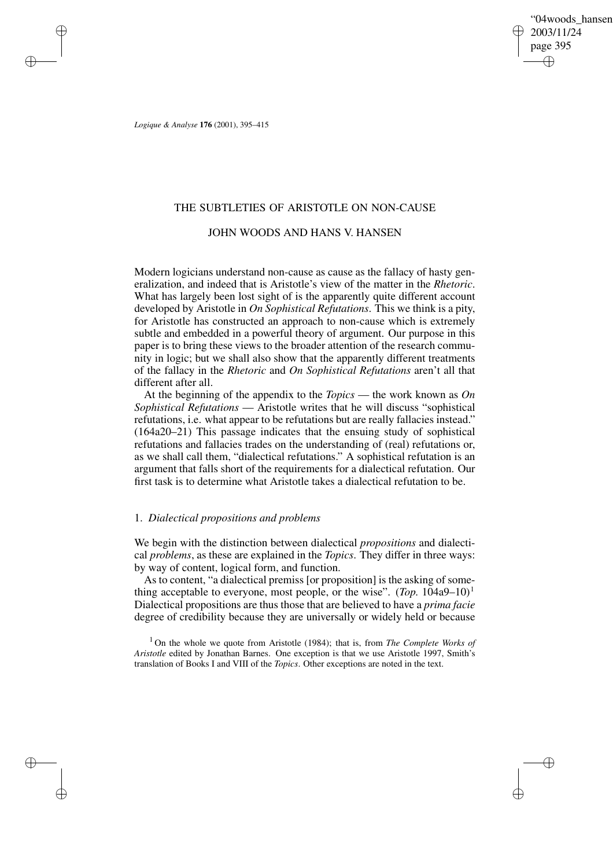"04woods\_hansen" 2003/11/24 page 395 ✐ ✐

✐

✐

*Logique & Analyse* **176** (2001), 395–415

✐

✐

✐

✐

## THE SUBTLETIES OF ARISTOTLE ON NON-CAUSE

# JOHN WOODS AND HANS V. HANSEN

Modern logicians understand non-cause as cause as the fallacy of hasty generalization, and indeed that is Aristotle's view of the matter in the *Rhetoric*. What has largely been lost sight of is the apparently quite different account developed by Aristotle in *On Sophistical Refutations*. This we think is a pity, for Aristotle has constructed an approach to non-cause which is extremely subtle and embedded in a powerful theory of argument. Our purpose in this paper is to bring these views to the broader attention of the research community in logic; but we shall also show that the apparently different treatments of the fallacy in the *Rhetoric* and *On Sophistical Refutations* aren't all that different after all.

At the beginning of the appendix to the *Topics* — the work known as *On Sophistical Refutations* — Aristotle writes that he will discuss "sophistical refutations, i.e. what appear to be refutations but are really fallacies instead." (164a20–21) This passage indicates that the ensuing study of sophistical refutations and fallacies trades on the understanding of (real) refutations or, as we shall call them, "dialectical refutations." A sophistical refutation is an argument that falls short of the requirements for a dialectical refutation. Our first task is to determine what Aristotle takes a dialectical refutation to be.

## 1. *Dialectical propositions and problems*

We begin with the distinction between dialectical *propositions* and dialectical *problems*, as these are explained in the *Topics*. They differ in three ways: by way of content, logical form, and function.

As to content, "a dialectical premiss [or proposition] is the asking of something acceptable to everyone, most people, or the wise".  $(Top. 104a9-10)^1$ Dialectical propositions are thus those that are believed to have a *prima facie* degree of credibility because they are universally or widely held or because

<sup>1</sup> On the whole we quote from Aristotle (1984); that is, from *The Complete Works of Aristotle* edited by Jonathan Barnes. One exception is that we use Aristotle 1997, Smith's translation of Books I and VIII of the *Topics*. Other exceptions are noted in the text.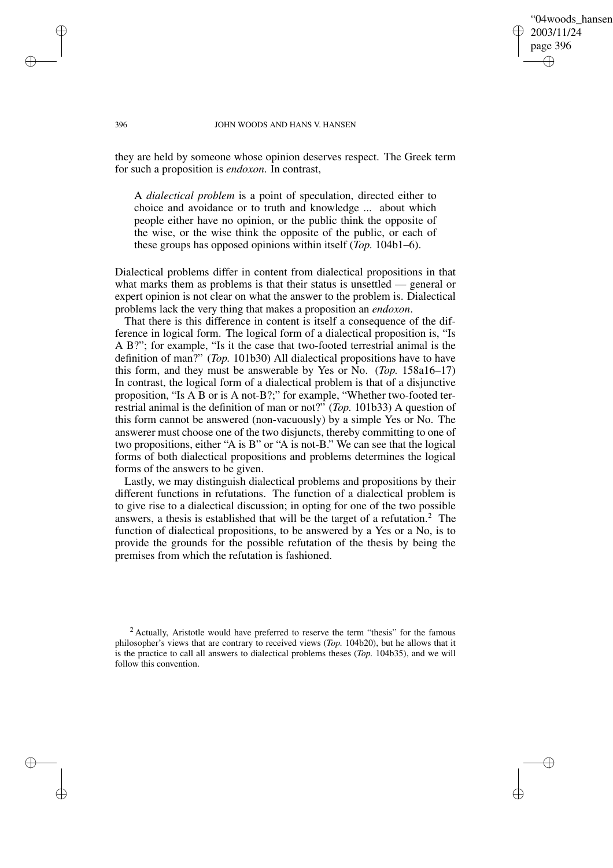## "04woods\_hansen" 2003/11/24 page 396 ✐ ✐

✐

✐

#### 396 JOHN WOODS AND HANS V. HANSEN

they are held by someone whose opinion deserves respect. The Greek term for such a proposition is *endoxon*. In contrast,

A *dialectical problem* is a point of speculation, directed either to choice and avoidance or to truth and knowledge ... about which people either have no opinion, or the public think the opposite of the wise, or the wise think the opposite of the public, or each of these groups has opposed opinions within itself (*Top.* 104b1–6).

Dialectical problems differ in content from dialectical propositions in that what marks them as problems is that their status is unsettled — general or expert opinion is not clear on what the answer to the problem is. Dialectical problems lack the very thing that makes a proposition an *endoxon*.

That there is this difference in content is itself a consequence of the difference in logical form. The logical form of a dialectical proposition is, "Is A B?"; for example, "Is it the case that two-footed terrestrial animal is the definition of man?" (*Top.* 101b30) All dialectical propositions have to have this form, and they must be answerable by Yes or No. (*Top.* 158a16–17) In contrast, the logical form of a dialectical problem is that of a disjunctive proposition, "Is A B or is A not-B?;" for example, "Whether two-footed terrestrial animal is the definition of man or not?" (*Top.* 101b33) A question of this form cannot be answered (non-vacuously) by a simple Yes or No. The answerer must choose one of the two disjuncts, thereby committing to one of two propositions, either "A is B" or "A is not-B." We can see that the logical forms of both dialectical propositions and problems determines the logical forms of the answers to be given.

Lastly, we may distinguish dialectical problems and propositions by their different functions in refutations. The function of a dialectical problem is to give rise to a dialectical discussion; in opting for one of the two possible answers, a thesis is established that will be the target of a refutation.<sup>2</sup> The function of dialectical propositions, to be answered by a Yes or a No, is to provide the grounds for the possible refutation of the thesis by being the premises from which the refutation is fashioned.

✐

✐

✐

<sup>&</sup>lt;sup>2</sup> Actually, Aristotle would have preferred to reserve the term "thesis" for the famous philosopher's views that are contrary to received views (*Top.* 104b20), but he allows that it is the practice to call all answers to dialectical problems theses (*Top.* 104b35), and we will follow this convention.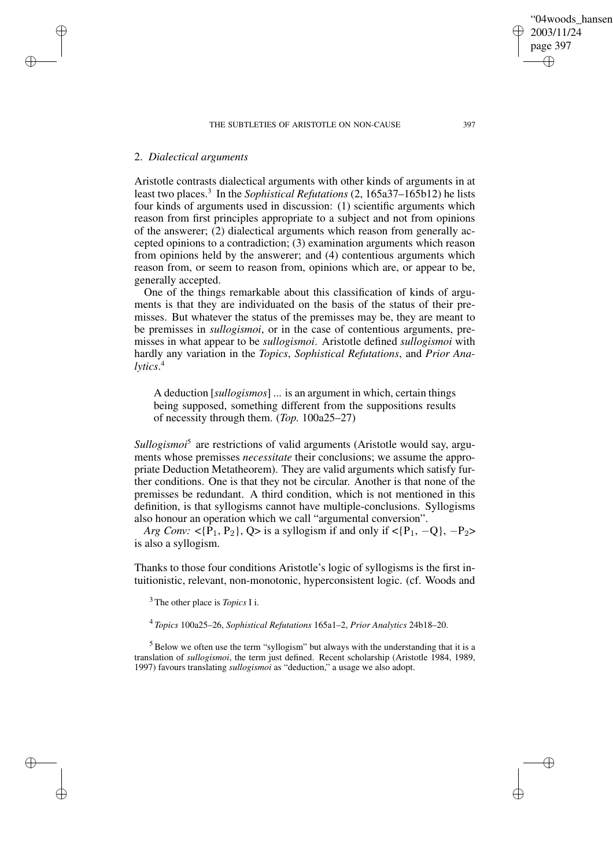# 2. *Dialectical arguments*

Aristotle contrasts dialectical arguments with other kinds of arguments in at least two places.<sup>3</sup> In the *Sophistical Refutations* (2, 165a37–165b12) he lists four kinds of arguments used in discussion: (1) scientific arguments which reason from first principles appropriate to a subject and not from opinions of the answerer; (2) dialectical arguments which reason from generally accepted opinions to a contradiction; (3) examination arguments which reason from opinions held by the answerer; and (4) contentious arguments which reason from, or seem to reason from, opinions which are, or appear to be, generally accepted.

One of the things remarkable about this classification of kinds of arguments is that they are individuated on the basis of the status of their premisses. But whatever the status of the premisses may be, they are meant to be premisses in *sullogismoi*, or in the case of contentious arguments, premisses in what appear to be *sullogismoi*. Aristotle defined *sullogismoi* with hardly any variation in the *Topics*, *Sophistical Refutations*, and *Prior Analytics*. 4

A deduction [*sullogismos*] ... is an argument in which, certain things being supposed, something different from the suppositions results of necessity through them. (*Top.* 100a25–27)

Sullogismoi<sup>5</sup> are restrictions of valid arguments (Aristotle would say, arguments whose premisses *necessitate* their conclusions; we assume the appropriate Deduction Metatheorem). They are valid arguments which satisfy further conditions. One is that they not be circular. Another is that none of the premisses be redundant. A third condition, which is not mentioned in this definition, is that syllogisms cannot have multiple-conclusions. Syllogisms also honour an operation which we call "argumental conversion".

*Arg Conv:* <{ $\overline{P_1}$ ,  $P_2$ },  $Q$ > is a syllogism if and only if < $\{P_1, -Q\}$ ,  $-P_2$ > is also a syllogism.

Thanks to those four conditions Aristotle's logic of syllogisms is the first intuitionistic, relevant, non-monotonic, hyperconsistent logic. (cf. Woods and

<sup>3</sup> The other place is *Topics* I i.

4 *Topics* 100a25–26, *Sophistical Refutations* 165a1–2, *Prior Analytics* 24b18–20.

 $5$  Below we often use the term "syllogism" but always with the understanding that it is a translation of *sullogismoi*, the term just defined. Recent scholarship (Aristotle 1984, 1989, 1997) favours translating *sullogismoi* as "deduction," a usage we also adopt.

"04woods\_hansen"

2003/11/24 page 397

✐

✐

✐

✐

# ✐

✐

✐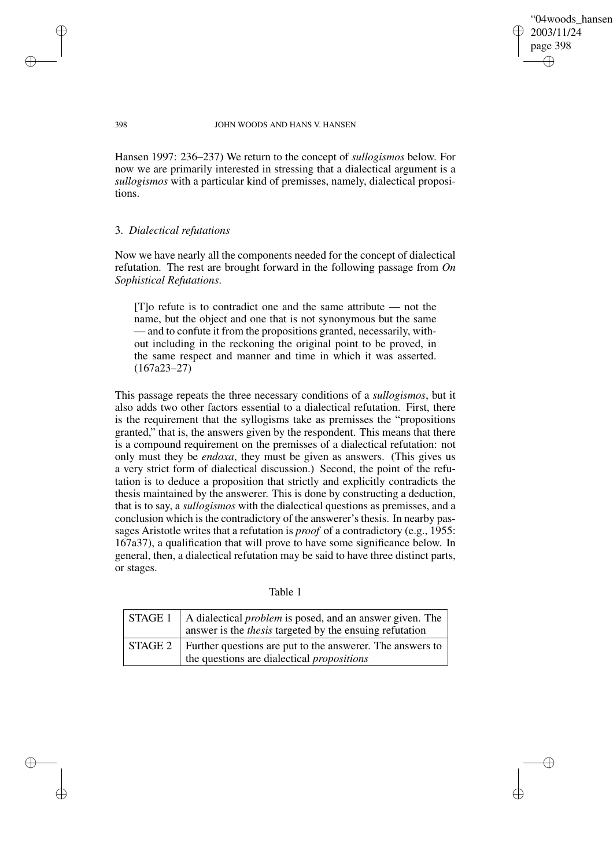"04woods\_hansen" 2003/11/24 page 398 ✐ ✐

✐

✐

#### 398 JOHN WOODS AND HANS V. HANSEN

Hansen 1997: 236–237) We return to the concept of *sullogismos* below. For now we are primarily interested in stressing that a dialectical argument is a *sullogismos* with a particular kind of premisses, namely, dialectical propositions.

## 3. *Dialectical refutations*

Now we have nearly all the components needed for the concept of dialectical refutation. The rest are brought forward in the following passage from *On Sophistical Refutations*.

[T]o refute is to contradict one and the same attribute — not the name, but the object and one that is not synonymous but the same — and to confute it from the propositions granted, necessarily, without including in the reckoning the original point to be proved, in the same respect and manner and time in which it was asserted. (167a23–27)

This passage repeats the three necessary conditions of a *sullogismos*, but it also adds two other factors essential to a dialectical refutation. First, there is the requirement that the syllogisms take as premisses the "propositions granted," that is, the answers given by the respondent. This means that there is a compound requirement on the premisses of a dialectical refutation: not only must they be *endoxa*, they must be given as answers. (This gives us a very strict form of dialectical discussion.) Second, the point of the refutation is to deduce a proposition that strictly and explicitly contradicts the thesis maintained by the answerer. This is done by constructing a deduction, that is to say, a *sullogismos* with the dialectical questions as premisses, and a conclusion which is the contradictory of the answerer's thesis. In nearby passages Aristotle writes that a refutation is *proof* of a contradictory (e.g., 1955: 167a37), a qualification that will prove to have some significance below. In general, then, a dialectical refutation may be said to have three distinct parts, or stages.

|  |  | abie |  |
|--|--|------|--|
|--|--|------|--|

| STAGE 1   A dialectical <i>problem</i> is posed, and an answer given. The<br>answer is the <i>thesis</i> targeted by the ensuing refutation |
|---------------------------------------------------------------------------------------------------------------------------------------------|
| STAGE 2 Further questions are put to the answerer. The answers to<br>the questions are dialectical <i>propositions</i>                      |

✐

✐

✐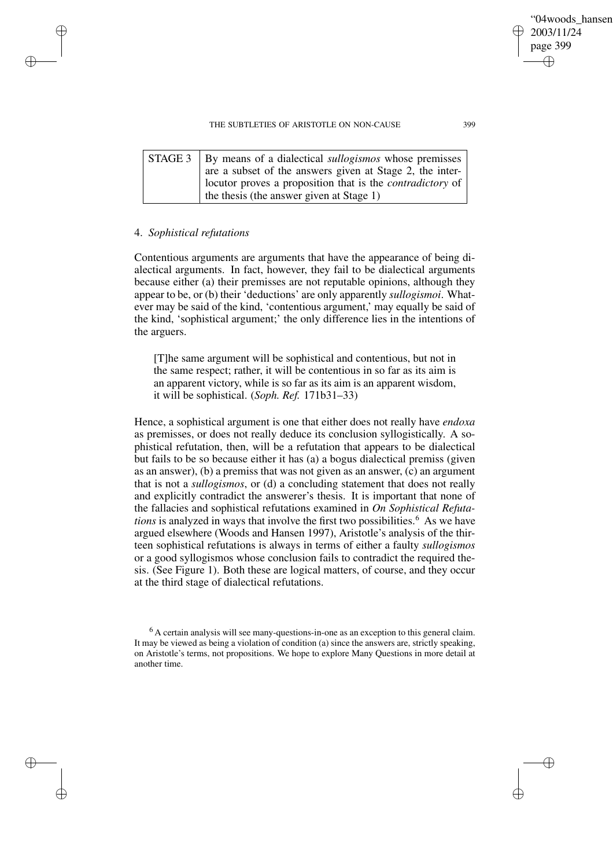| STAGE 3   By means of a dialectical <i>sullogismos</i> whose premisses |
|------------------------------------------------------------------------|
| are a subset of the answers given at Stage 2, the inter-               |
| I locutor proves a proposition that is the <i>contradictory</i> of     |
| the thesis (the answer given at Stage 1)                               |

## 4. *Sophistical refutations*

✐

✐

✐

✐

Contentious arguments are arguments that have the appearance of being dialectical arguments. In fact, however, they fail to be dialectical arguments because either (a) their premisses are not reputable opinions, although they appear to be, or (b) their 'deductions' are only apparently *sullogismoi*. Whatever may be said of the kind, 'contentious argument,' may equally be said of the kind, 'sophistical argument;' the only difference lies in the intentions of the arguers.

[T]he same argument will be sophistical and contentious, but not in the same respect; rather, it will be contentious in so far as its aim is an apparent victory, while is so far as its aim is an apparent wisdom, it will be sophistical. (*Soph. Ref.* 171b31–33)

Hence, a sophistical argument is one that either does not really have *endoxa* as premisses, or does not really deduce its conclusion syllogistically. A sophistical refutation, then, will be a refutation that appears to be dialectical but fails to be so because either it has (a) a bogus dialectical premiss (given as an answer), (b) a premiss that was not given as an answer, (c) an argument that is not a *sullogismos*, or (d) a concluding statement that does not really and explicitly contradict the answerer's thesis. It is important that none of the fallacies and sophistical refutations examined in *On Sophistical Refutations* is analyzed in ways that involve the first two possibilities.<sup>6</sup> As we have argued elsewhere (Woods and Hansen 1997), Aristotle's analysis of the thirteen sophistical refutations is always in terms of either a faulty *sullogismos* or a good syllogismos whose conclusion fails to contradict the required thesis. (See Figure 1). Both these are logical matters, of course, and they occur at the third stage of dialectical refutations.

✐

<sup>&</sup>lt;sup>6</sup> A certain analysis will see many-questions-in-one as an exception to this general claim. It may be viewed as being a violation of condition (a) since the answers are, strictly speaking, on Aristotle's terms, not propositions. We hope to explore Many Questions in more detail at another time.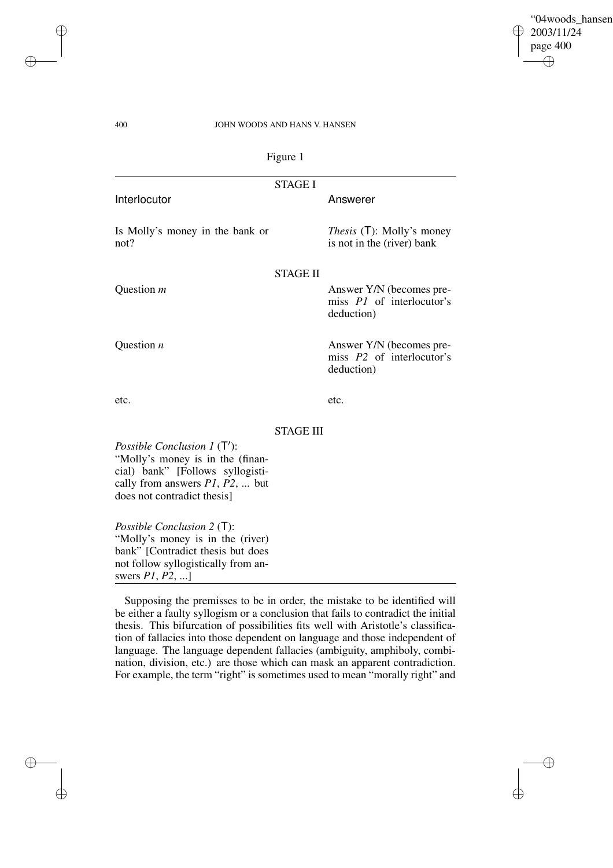✐

✐

## 400 JOHN WOODS AND HANS V. HANSEN

|                                                                                                                                                                               | Figure 1         |                                                                            |
|-------------------------------------------------------------------------------------------------------------------------------------------------------------------------------|------------------|----------------------------------------------------------------------------|
|                                                                                                                                                                               | <b>STAGE I</b>   |                                                                            |
| Interlocutor                                                                                                                                                                  |                  | Answerer                                                                   |
| Is Molly's money in the bank or<br>not?                                                                                                                                       |                  | <i>Thesis</i> (T): Molly's money<br>is not in the (river) bank             |
|                                                                                                                                                                               | <b>STAGE II</b>  |                                                                            |
| Question <i>m</i>                                                                                                                                                             |                  | Answer Y/N (becomes pre-<br>miss <i>P1</i> of interlocutor's<br>deduction) |
| Question $n$                                                                                                                                                                  |                  | Answer Y/N (becomes pre-<br>miss P2 of interlocutor's<br>deduction)        |
| etc.                                                                                                                                                                          |                  | etc.                                                                       |
|                                                                                                                                                                               | <b>STAGE III</b> |                                                                            |
| Possible Conclusion $1(T')$ :<br>"Molly's money is in the (finan-<br>cial) bank" [Follows syllogisti-<br>cally from answers $P1$ , $P2$ ,  but<br>does not contradict thesis] |                  |                                                                            |

*Possible Conclusion 2* (T): "Molly's money is in the (river) bank" [Contradict thesis but does not follow syllogistically from answers *P1*, *P2*, ...]

Supposing the premisses to be in order, the mistake to be identified will be either a faulty syllogism or a conclusion that fails to contradict the initial thesis. This bifurcation of possibilities fits well with Aristotle's classification of fallacies into those dependent on language and those independent of language. The language dependent fallacies (ambiguity, amphiboly, combination, division, etc.) are those which can mask an apparent contradiction. For example, the term "right" is sometimes used to mean "morally right" and

✐

✐

 $\oplus$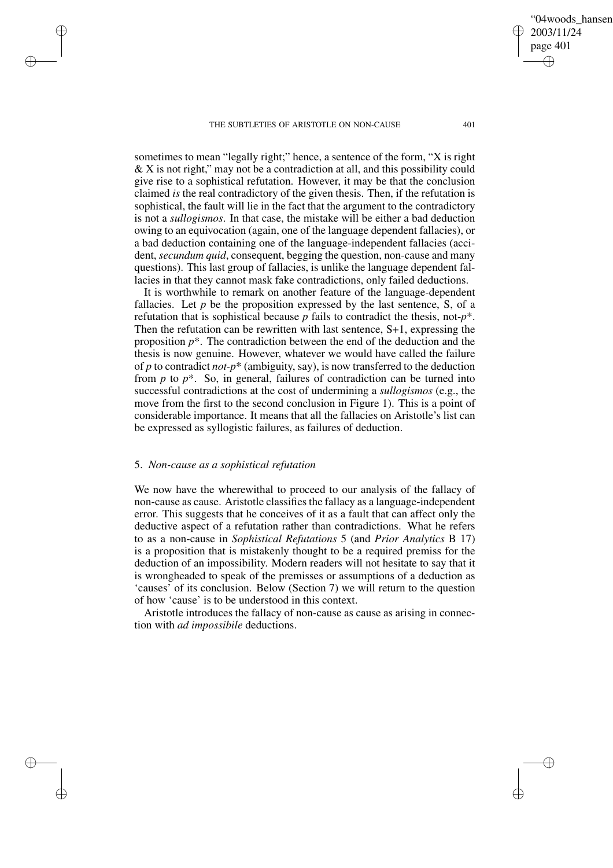sometimes to mean "legally right;" hence, a sentence of the form, "X is right & X is not right," may not be a contradiction at all, and this possibility could give rise to a sophistical refutation. However, it may be that the conclusion claimed *is* the real contradictory of the given thesis. Then, if the refutation is sophistical, the fault will lie in the fact that the argument to the contradictory is not a *sullogismos*. In that case, the mistake will be either a bad deduction owing to an equivocation (again, one of the language dependent fallacies), or a bad deduction containing one of the language-independent fallacies (accident, *secundum quid*, consequent, begging the question, non-cause and many questions). This last group of fallacies, is unlike the language dependent fallacies in that they cannot mask fake contradictions, only failed deductions.

It is worthwhile to remark on another feature of the language-dependent fallacies. Let  $p$  be the proposition expressed by the last sentence,  $S$ , of a refutation that is sophistical because *p* fails to contradict the thesis, not-*p*\*. Then the refutation can be rewritten with last sentence, S+1, expressing the proposition *p*\*. The contradiction between the end of the deduction and the thesis is now genuine. However, whatever we would have called the failure of *p* to contradict *not-p*\* (ambiguity, say), is now transferred to the deduction from *p* to  $p^*$ . So, in general, failures of contradiction can be turned into successful contradictions at the cost of undermining a *sullogismos* (e.g., the move from the first to the second conclusion in Figure 1). This is a point of considerable importance. It means that all the fallacies on Aristotle's list can be expressed as syllogistic failures, as failures of deduction.

#### 5. *Non-cause as a sophistical refutation*

✐

✐

✐

✐

We now have the wherewithal to proceed to our analysis of the fallacy of non-cause as cause. Aristotle classifies the fallacy as a language-independent error. This suggests that he conceives of it as a fault that can affect only the deductive aspect of a refutation rather than contradictions. What he refers to as a non-cause in *Sophistical Refutations* 5 (and *Prior Analytics* B 17) is a proposition that is mistakenly thought to be a required premiss for the deduction of an impossibility. Modern readers will not hesitate to say that it is wrongheaded to speak of the premisses or assumptions of a deduction as 'causes' of its conclusion. Below (Section 7) we will return to the question of how 'cause' is to be understood in this context.

Aristotle introduces the fallacy of non-cause as cause as arising in connection with *ad impossibile* deductions.

"04woods\_hansen"

2003/11/24 page 401

✐

✐

✐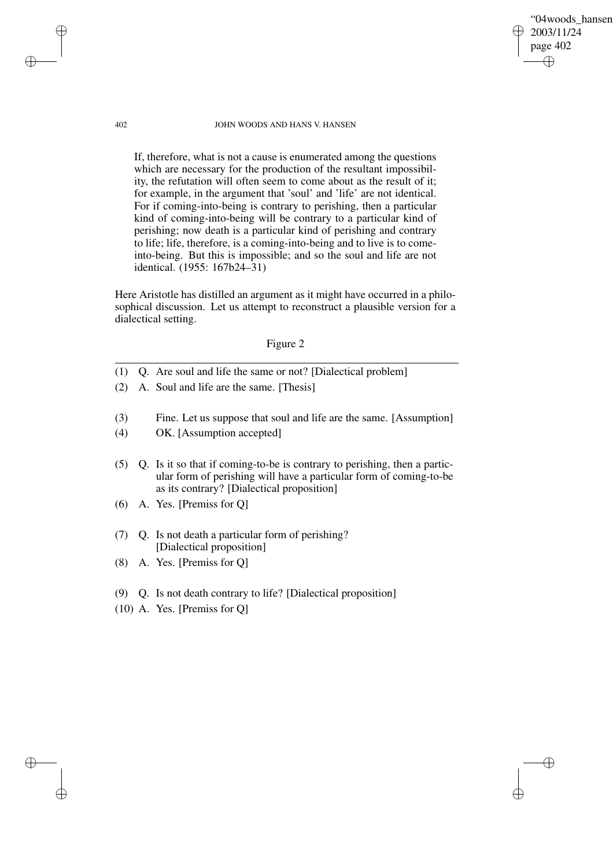"04woods\_hansen" 2003/11/24 page 402 ✐ ✐

✐

✐

#### 402 JOHN WOODS AND HANS V. HANSEN

If, therefore, what is not a cause is enumerated among the questions which are necessary for the production of the resultant impossibility, the refutation will often seem to come about as the result of it; for example, in the argument that 'soul' and 'life' are not identical. For if coming-into-being is contrary to perishing, then a particular kind of coming-into-being will be contrary to a particular kind of perishing; now death is a particular kind of perishing and contrary to life; life, therefore, is a coming-into-being and to live is to comeinto-being. But this is impossible; and so the soul and life are not identical. (1955: 167b24–31)

Here Aristotle has distilled an argument as it might have occurred in a philosophical discussion. Let us attempt to reconstruct a plausible version for a dialectical setting.

# Figure 2

- (1) Q. Are soul and life the same or not? [Dialectical problem]
- (2) A. Soul and life are the same. [Thesis]
- (3) Fine. Let us suppose that soul and life are the same. [Assumption]
- (4) OK. [Assumption accepted]
- (5) Q. Is it so that if coming-to-be is contrary to perishing, then a particular form of perishing will have a particular form of coming-to-be as its contrary? [Dialectical proposition]
- (6) A. Yes. [Premiss for Q]
- (7) Q. Is not death a particular form of perishing? [Dialectical proposition]
- (8) A. Yes. [Premiss for Q]
- (9) Q. Is not death contrary to life? [Dialectical proposition]
- (10) A. Yes. [Premiss for Q]

✐

✐

✐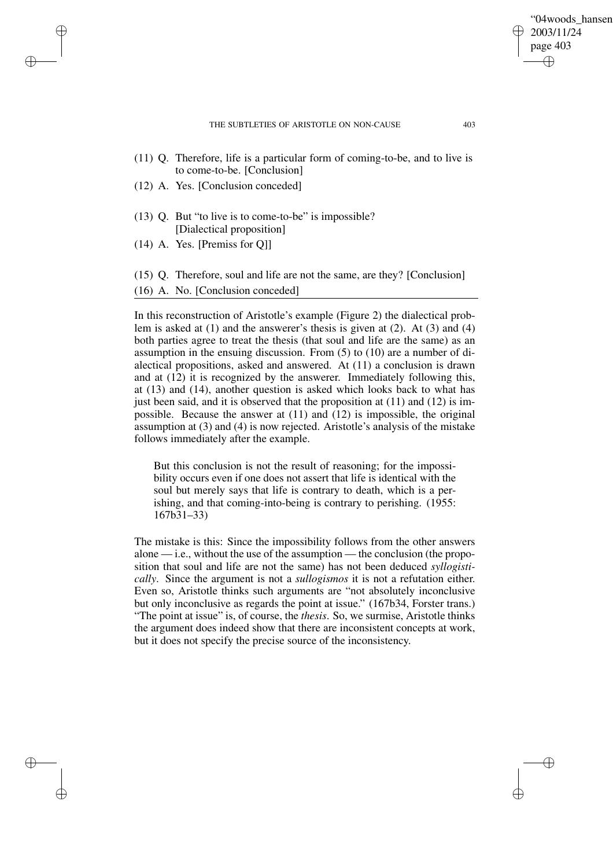✐

✐

- (11) Q. Therefore, life is a particular form of coming-to-be, and to live is to come-to-be. [Conclusion]
- (12) A. Yes. [Conclusion conceded]
- (13) Q. But "to live is to come-to-be" is impossible? [Dialectical proposition]
- (14) A. Yes. [Premiss for Q]]

✐

✐

✐

✐

- (15) Q. Therefore, soul and life are not the same, are they? [Conclusion]
- (16) A. No. [Conclusion conceded]

In this reconstruction of Aristotle's example (Figure 2) the dialectical problem is asked at (1) and the answerer's thesis is given at (2). At (3) and (4) both parties agree to treat the thesis (that soul and life are the same) as an assumption in the ensuing discussion. From (5) to (10) are a number of dialectical propositions, asked and answered. At (11) a conclusion is drawn and at  $(12)$  it is recognized by the answerer. Immediately following this, at (13) and (14), another question is asked which looks back to what has just been said, and it is observed that the proposition at  $(11)$  and  $(12)$  is impossible. Because the answer at (11) and (12) is impossible, the original assumption at (3) and (4) is now rejected. Aristotle's analysis of the mistake follows immediately after the example.

But this conclusion is not the result of reasoning; for the impossibility occurs even if one does not assert that life is identical with the soul but merely says that life is contrary to death, which is a perishing, and that coming-into-being is contrary to perishing. (1955: 167b31–33)

The mistake is this: Since the impossibility follows from the other answers alone — i.e., without the use of the assumption — the conclusion (the proposition that soul and life are not the same) has not been deduced *syllogistically*. Since the argument is not a *sullogismos* it is not a refutation either. Even so, Aristotle thinks such arguments are "not absolutely inconclusive but only inconclusive as regards the point at issue." (167b34, Forster trans.) "The point at issue" is, of course, the *thesis*. So, we surmise, Aristotle thinks the argument does indeed show that there are inconsistent concepts at work, but it does not specify the precise source of the inconsistency.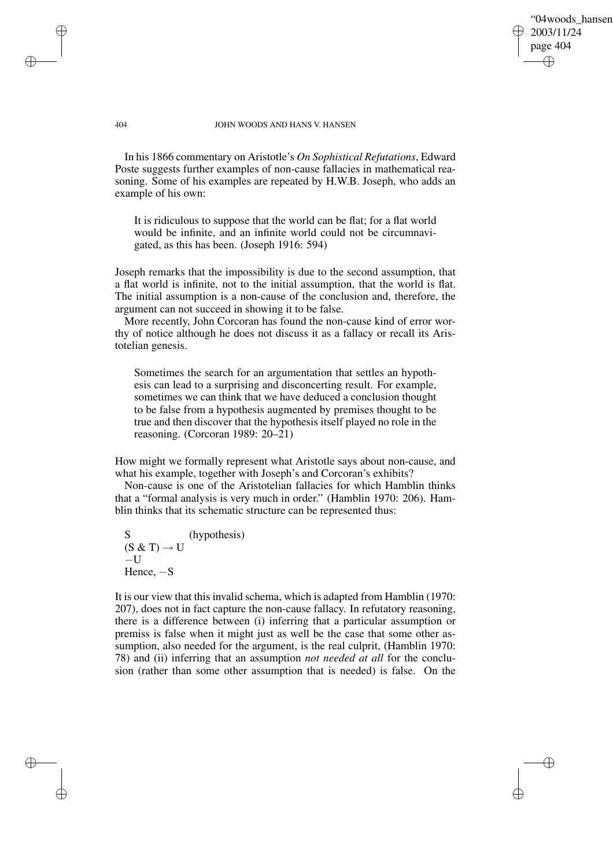"04woods\_hansen" 2003/11/24 page 404 ✐ ✐

✐

✐

## 404 JOHN WOODS AND HANS V. HANSEN

In his 1866 commentary on Aristotle's *On Sophistical Refutations*, Edward Poste suggests further examples of non-cause fallacies in mathematical reasoning. Some of his examples are repeated by H.W.B. Joseph, who adds an example of his own:

It is ridiculous to suppose that the world can be flat; for a flat world would be infinite, and an infinite world could not be circumnavigated, as this has been. (Joseph 1916: 594)

Joseph remarks that the impossibility is due to the second assumption, that a flat world is infinite, not to the initial assumption, that the world is flat. The initial assumption is a non-cause of the conclusion and, therefore, the argument can not succeed in showing it to be false.

More recently, John Corcoran has found the non-cause kind of error worthy of notice although he does not discuss it as a fallacy or recall its Aristotelian genesis.

Sometimes the search for an argumentation that settles an hypothesis can lead to a surprising and disconcerting result. For example, sometimes we can think that we have deduced a conclusion thought to be false from a hypothesis augmented by premises thought to be true and then discover that the hypothesis itself played no role in the reasoning. (Corcoran 1989: 20–21)

How might we formally represent what Aristotle says about non-cause, and what his example, together with Joseph's and Corcoran's exhibits?

Non-cause is one of the Aristotelian fallacies for which Hamblin thinks that a "formal analysis is very much in order." (Hamblin 1970: 206). Hamblin thinks that its schematic structure can be represented thus:

S (hypothesis)  $(S \& T) \rightarrow U$  $-U$ Hence, −S

✐

✐

✐

✐

It is our view that this invalid schema, which is adapted from Hamblin (1970: 207), does not in fact capture the non-cause fallacy. In refutatory reasoning, there is a difference between (i) inferring that a particular assumption or premiss is false when it might just as well be the case that some other assumption, also needed for the argument, is the real culprit, (Hamblin 1970: 78) and (ii) inferring that an assumption *not needed at all* for the conclusion (rather than some other assumption that is needed) is false. On the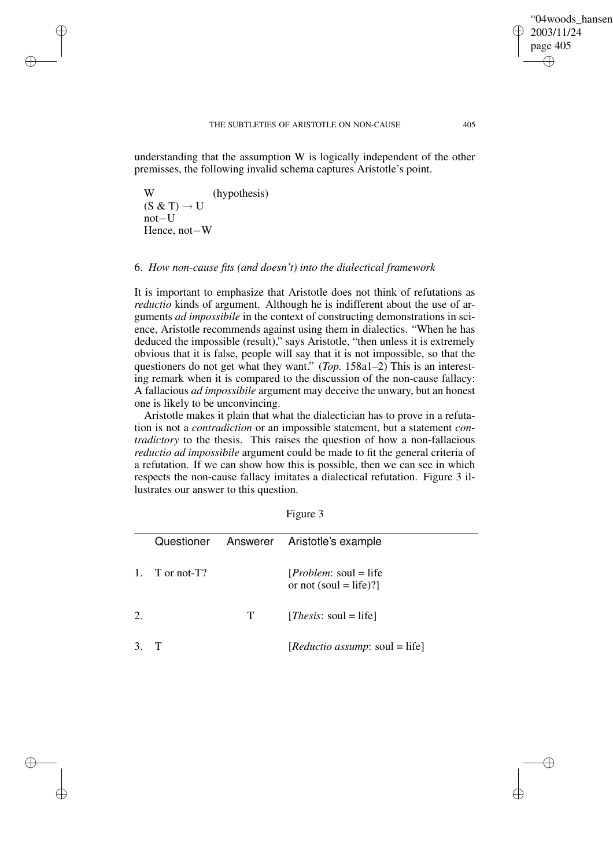✐

✐

understanding that the assumption W is logically independent of the other premisses, the following invalid schema captures Aristotle's point.

W (hypothesis)  $(S \& T) \rightarrow U$ not−U Hence, not−W

✐

✐

✐

✐

## 6. *How non-cause fits (and doesn't) into the dialectical framework*

It is important to emphasize that Aristotle does not think of refutations as *reductio* kinds of argument. Although he is indifferent about the use of arguments *ad impossibile* in the context of constructing demonstrations in science, Aristotle recommends against using them in dialectics. "When he has deduced the impossible (result)," says Aristotle, "then unless it is extremely obvious that it is false, people will say that it is not impossible, so that the questioners do not get what they want." (*Top.* 158a1–2) This is an interesting remark when it is compared to the discussion of the non-cause fallacy: A fallacious *ad impossibile* argument may deceive the unwary, but an honest one is likely to be unconvincing.

Aristotle makes it plain that what the dialectician has to prove in a refutation is not a *contradiction* or an impossible statement, but a statement *contradictory* to the thesis. This raises the question of how a non-fallacious *reductio ad impossibile* argument could be made to fit the general criteria of a refutation. If we can show how this is possible, then we can see in which respects the non-cause fallacy imitates a dialectical refutation. Figure 3 illustrates our answer to this question.

| L<br>н |  |
|--------|--|
|        |  |

|                |             |   | Questioner Answerer Aristotle's example                  |
|----------------|-------------|---|----------------------------------------------------------|
| $\mathbf{1}$ . | T or not-T? |   | [ <i>Problem</i> : soul = life<br>or not (soul = life)?] |
|                |             | T | [ <i>Thesis</i> : soul = life]                           |
|                |             |   | [ <i>Reductio assump</i> : soul = life]                  |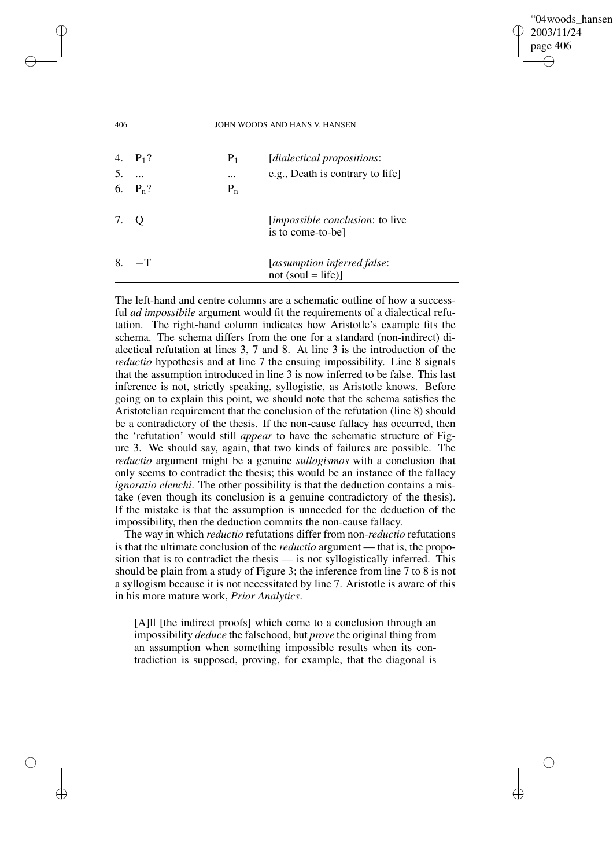## "04woods\_hansen" 2003/11/24 page 406 ✐ ✐

✐

✐

#### 406 JOHN WOODS AND HANS V. HANSEN

✐

✐

✐

✐

| -5.  | 4. $P_1$ ?<br>6. $P_n$ ? | $P_1$<br>$\cdots$<br>$P_n$ | [dialectical propositions:<br>e.g., Death is contrary to life |
|------|--------------------------|----------------------------|---------------------------------------------------------------|
| 7. Q |                          |                            | <i>limpossible conclusion:</i> to live<br>is to come-to-be]   |
| 8.   | $-$ T                    |                            | [assumption inferred false:<br>$not (soul = life)$            |

The left-hand and centre columns are a schematic outline of how a successful *ad impossibile* argument would fit the requirements of a dialectical refutation. The right-hand column indicates how Aristotle's example fits the schema. The schema differs from the one for a standard (non-indirect) dialectical refutation at lines 3, 7 and 8. At line 3 is the introduction of the *reductio* hypothesis and at line 7 the ensuing impossibility. Line 8 signals that the assumption introduced in line 3 is now inferred to be false. This last inference is not, strictly speaking, syllogistic, as Aristotle knows. Before going on to explain this point, we should note that the schema satisfies the Aristotelian requirement that the conclusion of the refutation (line 8) should be a contradictory of the thesis. If the non-cause fallacy has occurred, then the 'refutation' would still *appear* to have the schematic structure of Figure 3. We should say, again, that two kinds of failures are possible. The *reductio* argument might be a genuine *sullogismos* with a conclusion that only seems to contradict the thesis; this would be an instance of the fallacy *ignoratio elenchi*. The other possibility is that the deduction contains a mistake (even though its conclusion is a genuine contradictory of the thesis). If the mistake is that the assumption is unneeded for the deduction of the impossibility, then the deduction commits the non-cause fallacy.

The way in which *reductio* refutations differ from non-*reductio* refutations is that the ultimate conclusion of the *reductio* argument — that is, the proposition that is to contradict the thesis — is not syllogistically inferred. This should be plain from a study of Figure 3; the inference from line 7 to 8 is not a syllogism because it is not necessitated by line 7. Aristotle is aware of this in his more mature work, *Prior Analytics*.

[A]ll [the indirect proofs] which come to a conclusion through an impossibility *deduce* the falsehood, but *prove* the original thing from an assumption when something impossible results when its contradiction is supposed, proving, for example, that the diagonal is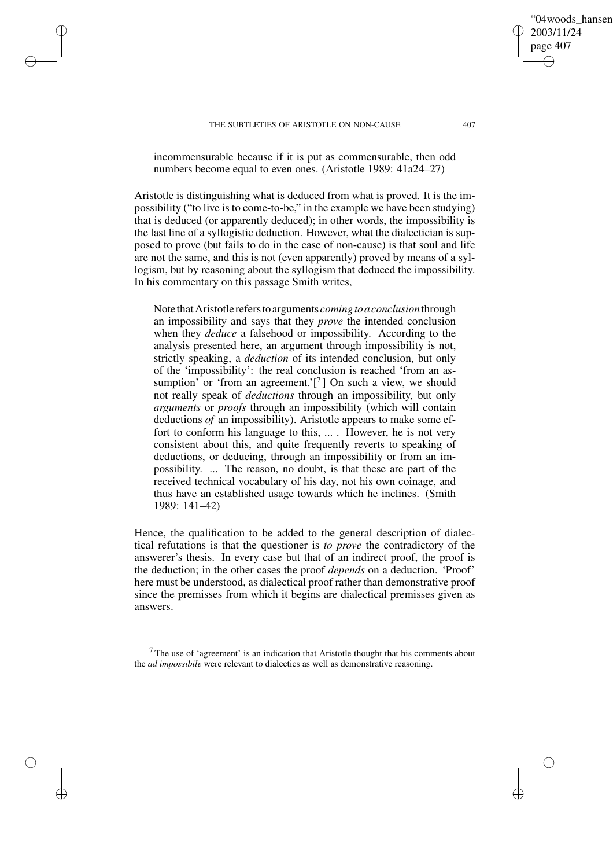✐

✐

✐

✐

incommensurable because if it is put as commensurable, then odd numbers become equal to even ones. (Aristotle 1989: 41a24–27)

Aristotle is distinguishing what is deduced from what is proved. It is the impossibility ("to live is to come-to-be," in the example we have been studying) that is deduced (or apparently deduced); in other words, the impossibility is the last line of a syllogistic deduction. However, what the dialectician is supposed to prove (but fails to do in the case of non-cause) is that soul and life are not the same, and this is not (even apparently) proved by means of a syllogism, but by reasoning about the syllogism that deduced the impossibility. In his commentary on this passage Smith writes,

Note thatAristotle referstoarguments *comingtoaconclusion*through an impossibility and says that they *prove* the intended conclusion when they *deduce* a falsehood or impossibility. According to the analysis presented here, an argument through impossibility is not, strictly speaking, a *deduction* of its intended conclusion, but only of the 'impossibility': the real conclusion is reached 'from an assumption' or 'from an agreement.'[ $7$ ] On such a view, we should not really speak of *deductions* through an impossibility, but only *arguments* or *proofs* through an impossibility (which will contain deductions *of* an impossibility). Aristotle appears to make some effort to conform his language to this, ... . However, he is not very consistent about this, and quite frequently reverts to speaking of deductions, or deducing, through an impossibility or from an impossibility. ... The reason, no doubt, is that these are part of the received technical vocabulary of his day, not his own coinage, and thus have an established usage towards which he inclines. (Smith 1989: 141–42)

Hence, the qualification to be added to the general description of dialectical refutations is that the questioner is *to prove* the contradictory of the answerer's thesis. In every case but that of an indirect proof, the proof is the deduction; in the other cases the proof *depends* on a deduction. 'Proof' here must be understood, as dialectical proof rather than demonstrative proof since the premisses from which it begins are dialectical premisses given as answers.

 $7$ The use of 'agreement' is an indication that Aristotle thought that his comments about the *ad impossibile* were relevant to dialectics as well as demonstrative reasoning.

"04woods\_hansen"

2003/11/24 page 407

✐

✐

✐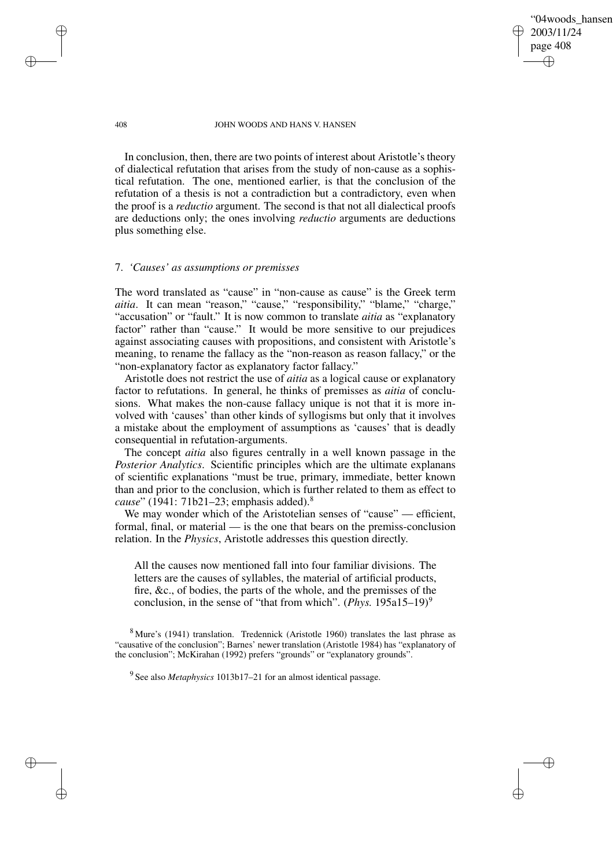"04woods\_hansen" 2003/11/24 page 408 ✐ ✐

✐

✐

#### 408 JOHN WOODS AND HANS V. HANSEN

In conclusion, then, there are two points of interest about Aristotle's theory of dialectical refutation that arises from the study of non-cause as a sophistical refutation. The one, mentioned earlier, is that the conclusion of the refutation of a thesis is not a contradiction but a contradictory, even when the proof is a *reductio* argument. The second is that not all dialectical proofs are deductions only; the ones involving *reductio* arguments are deductions plus something else.

## 7. *'Causes' as assumptions or premisses*

The word translated as "cause" in "non-cause as cause" is the Greek term *aitia*. It can mean "reason," "cause," "responsibility," "blame," "charge," "accusation" or "fault." It is now common to translate *aitia* as "explanatory factor" rather than "cause." It would be more sensitive to our prejudices against associating causes with propositions, and consistent with Aristotle's meaning, to rename the fallacy as the "non-reason as reason fallacy," or the "non-explanatory factor as explanatory factor fallacy."

Aristotle does not restrict the use of *aitia* as a logical cause or explanatory factor to refutations. In general, he thinks of premisses as *aitia* of conclusions. What makes the non-cause fallacy unique is not that it is more involved with 'causes' than other kinds of syllogisms but only that it involves a mistake about the employment of assumptions as 'causes' that is deadly consequential in refutation-arguments.

The concept *aitia* also figures centrally in a well known passage in the *Posterior Analytics*. Scientific principles which are the ultimate explanans of scientific explanations "must be true, primary, immediate, better known than and prior to the conclusion, which is further related to them as effect to *cause*" (1941: 71b21–23; emphasis added).<sup>8</sup>

We may wonder which of the Aristotelian senses of "cause" — efficient, formal, final, or material — is the one that bears on the premiss-conclusion relation. In the *Physics*, Aristotle addresses this question directly.

All the causes now mentioned fall into four familiar divisions. The letters are the causes of syllables, the material of artificial products, fire, &c., of bodies, the parts of the whole, and the premisses of the conclusion, in the sense of "that from which". (*Phys.* 195a15–19)<sup>9</sup>

✐

✐

✐

<sup>8</sup> Mure's (1941) translation. Tredennick (Aristotle 1960) translates the last phrase as "causative of the conclusion"; Barnes' newer translation (Aristotle 1984) has "explanatory of the conclusion"; McKirahan (1992) prefers "grounds" or "explanatory grounds".

<sup>9</sup> See also *Metaphysics* 1013b17–21 for an almost identical passage.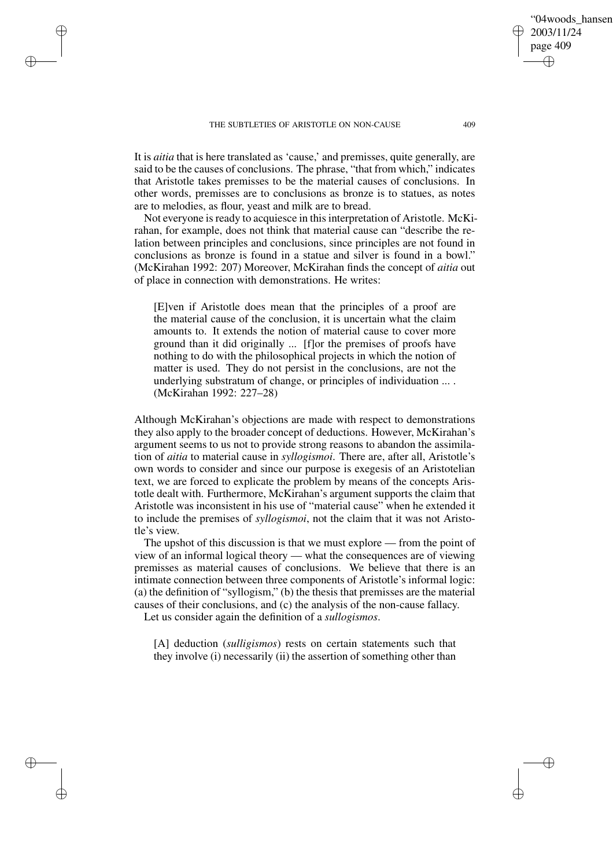✐

✐

✐

✐

It is *aitia* that is here translated as 'cause,' and premisses, quite generally, are said to be the causes of conclusions. The phrase, "that from which," indicates that Aristotle takes premisses to be the material causes of conclusions. In other words, premisses are to conclusions as bronze is to statues, as notes are to melodies, as flour, yeast and milk are to bread.

Not everyone is ready to acquiesce in this interpretation of Aristotle. McKirahan, for example, does not think that material cause can "describe the relation between principles and conclusions, since principles are not found in conclusions as bronze is found in a statue and silver is found in a bowl." (McKirahan 1992: 207) Moreover, McKirahan finds the concept of *aitia* out of place in connection with demonstrations. He writes:

[E]ven if Aristotle does mean that the principles of a proof are the material cause of the conclusion, it is uncertain what the claim amounts to. It extends the notion of material cause to cover more ground than it did originally ... [f]or the premises of proofs have nothing to do with the philosophical projects in which the notion of matter is used. They do not persist in the conclusions, are not the underlying substratum of change, or principles of individuation ... . (McKirahan 1992: 227–28)

Although McKirahan's objections are made with respect to demonstrations they also apply to the broader concept of deductions. However, McKirahan's argument seems to us not to provide strong reasons to abandon the assimilation of *aitia* to material cause in *syllogismoi*. There are, after all, Aristotle's own words to consider and since our purpose is exegesis of an Aristotelian text, we are forced to explicate the problem by means of the concepts Aristotle dealt with. Furthermore, McKirahan's argument supports the claim that Aristotle was inconsistent in his use of "material cause" when he extended it to include the premises of *syllogismoi*, not the claim that it was not Aristotle's view.

The upshot of this discussion is that we must explore — from the point of view of an informal logical theory — what the consequences are of viewing premisses as material causes of conclusions. We believe that there is an intimate connection between three components of Aristotle's informal logic: (a) the definition of "syllogism," (b) the thesis that premisses are the material causes of their conclusions, and (c) the analysis of the non-cause fallacy.

Let us consider again the definition of a *sullogismos*.

[A] deduction (*sulligismos*) rests on certain statements such that they involve (i) necessarily (ii) the assertion of something other than

"04woods\_hansen"

2003/11/24 page 409

✐

✐

✐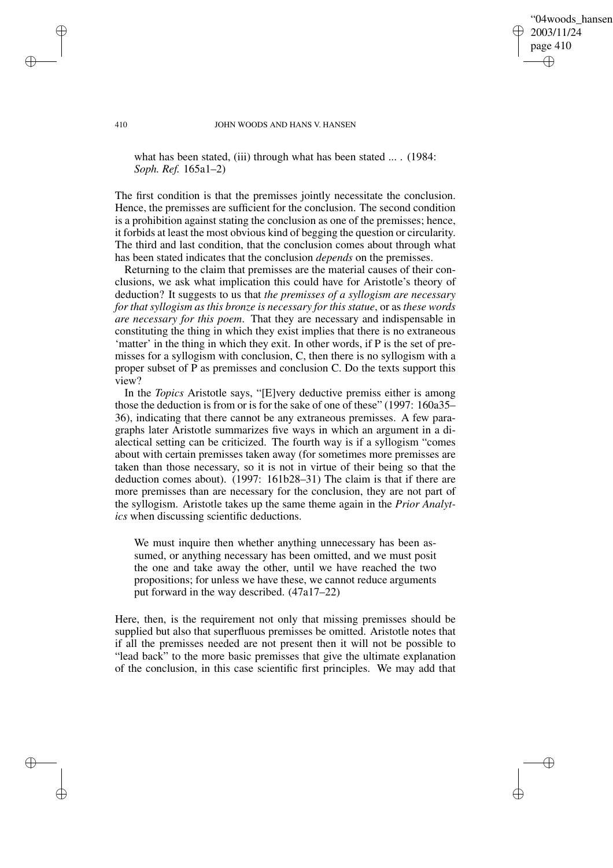"04woods\_hansen" 2003/11/24 page 410 ✐ ✐

✐

✐

#### 410 JOHN WOODS AND HANS V. HANSEN

what has been stated, (iii) through what has been stated ... . (1984: *Soph. Ref.* 165a1–2)

The first condition is that the premisses jointly necessitate the conclusion. Hence, the premisses are sufficient for the conclusion. The second condition is a prohibition against stating the conclusion as one of the premisses; hence, it forbids at least the most obvious kind of begging the question or circularity. The third and last condition, that the conclusion comes about through what has been stated indicates that the conclusion *depends* on the premisses.

Returning to the claim that premisses are the material causes of their conclusions, we ask what implication this could have for Aristotle's theory of deduction? It suggests to us that *the premisses of a syllogism are necessary for that syllogism as this bronze is necessary for this statue*, or as *these words are necessary for this poem*. That they are necessary and indispensable in constituting the thing in which they exist implies that there is no extraneous 'matter' in the thing in which they exit. In other words, if P is the set of premisses for a syllogism with conclusion, C, then there is no syllogism with a proper subset of P as premisses and conclusion C. Do the texts support this view?

In the *Topics* Aristotle says, "[E]very deductive premiss either is among those the deduction is from or is for the sake of one of these" (1997: 160a35– 36), indicating that there cannot be any extraneous premisses. A few paragraphs later Aristotle summarizes five ways in which an argument in a dialectical setting can be criticized. The fourth way is if a syllogism "comes about with certain premisses taken away (for sometimes more premisses are taken than those necessary, so it is not in virtue of their being so that the deduction comes about). (1997: 161b28–31) The claim is that if there are more premisses than are necessary for the conclusion, they are not part of the syllogism. Aristotle takes up the same theme again in the *Prior Analytics* when discussing scientific deductions.

We must inquire then whether anything unnecessary has been assumed, or anything necessary has been omitted, and we must posit the one and take away the other, until we have reached the two propositions; for unless we have these, we cannot reduce arguments put forward in the way described. (47a17–22)

Here, then, is the requirement not only that missing premisses should be supplied but also that superfluous premisses be omitted. Aristotle notes that if all the premisses needed are not present then it will not be possible to "lead back" to the more basic premisses that give the ultimate explanation of the conclusion, in this case scientific first principles. We may add that

✐

✐

✐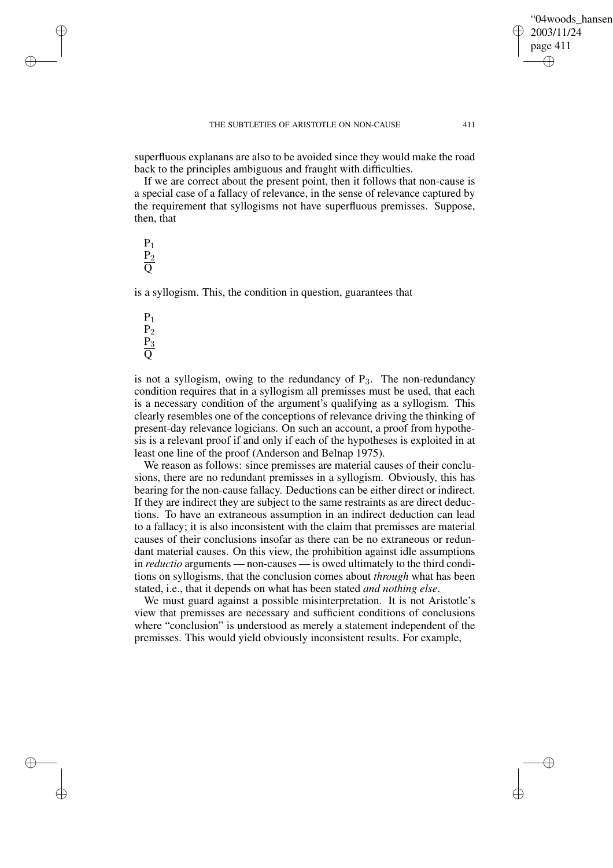✐

✐

superfluous explanans are also to be avoided since they would make the road back to the principles ambiguous and fraught with difficulties.

If we are correct about the present point, then it follows that non-cause is a special case of a fallacy of relevance, in the sense of relevance captured by the requirement that syllogisms not have superfluous premisses. Suppose, then, that

 $P_1$  $P<sub>2</sub>$ Q

✐

✐

✐

✐

is a syllogism. This, the condition in question, guarantees that

 $P_1$  $P<sub>2</sub>$  $P_3$  $\overline{Q}$ 

is not a syllogism, owing to the redundancy of  $P_3$ . The non-redundancy condition requires that in a syllogism all premisses must be used, that each is a necessary condition of the argument's qualifying as a syllogism. This clearly resembles one of the conceptions of relevance driving the thinking of present-day relevance logicians. On such an account, a proof from hypothesis is a relevant proof if and only if each of the hypotheses is exploited in at least one line of the proof (Anderson and Belnap 1975).

We reason as follows: since premisses are material causes of their conclusions, there are no redundant premisses in a syllogism. Obviously, this has bearing for the non-cause fallacy. Deductions can be either direct or indirect. If they are indirect they are subject to the same restraints as are direct deductions. To have an extraneous assumption in an indirect deduction can lead to a fallacy; it is also inconsistent with the claim that premisses are material causes of their conclusions insofar as there can be no extraneous or redundant material causes. On this view, the prohibition against idle assumptions in *reductio* arguments — non-causes — is owed ultimately to the third conditions on syllogisms, that the conclusion comes about *through* what has been stated, i.e., that it depends on what has been stated *and nothing else*.

We must guard against a possible misinterpretation. It is not Aristotle's view that premisses are necessary and sufficient conditions of conclusions where "conclusion" is understood as merely a statement independent of the premisses. This would yield obviously inconsistent results. For example,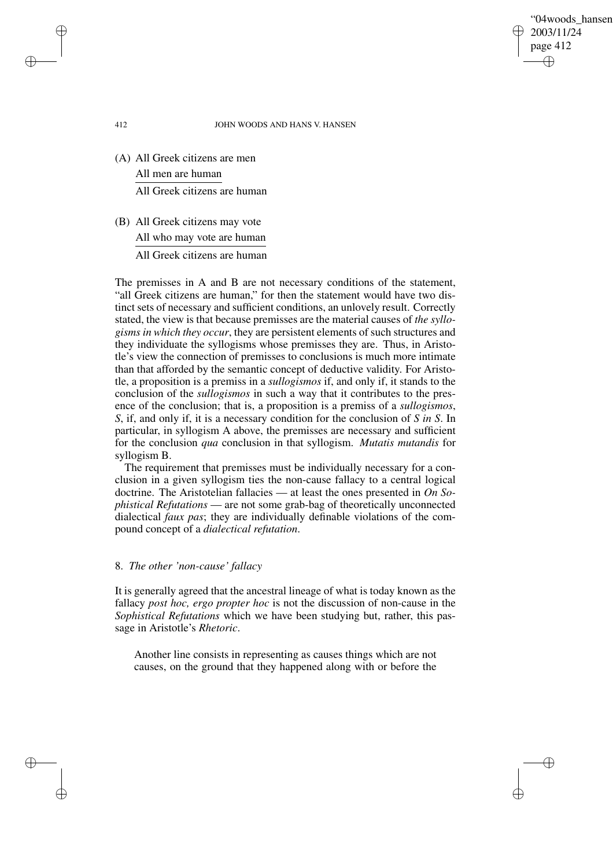"04woods\_hansen" 2003/11/24 page 412 ✐ ✐

✐

✐

### 412 JOHN WOODS AND HANS V. HANSEN

- (A) All Greek citizens are men All men are human All Greek citizens are human
- (B) All Greek citizens may vote All who may vote are human All Greek citizens are human

The premisses in A and B are not necessary conditions of the statement, "all Greek citizens are human," for then the statement would have two distinct sets of necessary and sufficient conditions, an unlovely result. Correctly stated, the view is that because premisses are the material causes of *the syllogisms in which they occur*, they are persistent elements of such structures and they individuate the syllogisms whose premisses they are. Thus, in Aristotle's view the connection of premisses to conclusions is much more intimate than that afforded by the semantic concept of deductive validity. For Aristotle, a proposition is a premiss in a *sullogismos* if, and only if, it stands to the conclusion of the *sullogismos* in such a way that it contributes to the presence of the conclusion; that is, a proposition is a premiss of a *sullogismos*, *S*, if, and only if, it is a necessary condition for the conclusion of *S in S*. In particular, in syllogism A above, the premisses are necessary and sufficient for the conclusion *qua* conclusion in that syllogism. *Mutatis mutandis* for syllogism B.

The requirement that premisses must be individually necessary for a conclusion in a given syllogism ties the non-cause fallacy to a central logical doctrine. The Aristotelian fallacies — at least the ones presented in *On Sophistical Refutations* — are not some grab-bag of theoretically unconnected dialectical *faux pas*; they are individually definable violations of the compound concept of a *dialectical refutation*.

## 8. *The other 'non-cause' fallacy*

It is generally agreed that the ancestral lineage of what is today known as the fallacy *post hoc, ergo propter hoc* is not the discussion of non-cause in the *Sophistical Refutations* which we have been studying but, rather, this passage in Aristotle's *Rhetoric*.

Another line consists in representing as causes things which are not causes, on the ground that they happened along with or before the

✐

✐

✐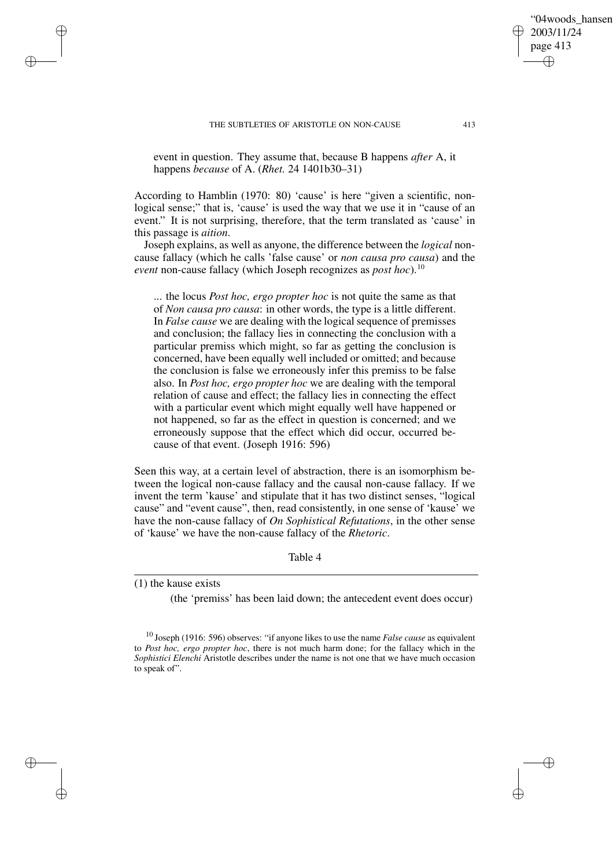✐

✐

2003/11/24 page 413

✐

"04woods\_hansen"

event in question. They assume that, because B happens *after* A, it happens *because* of A. (*Rhet.* 24 1401b30–31)

According to Hamblin (1970: 80) 'cause' is here "given a scientific, nonlogical sense;" that is, 'cause' is used the way that we use it in "cause of an event." It is not surprising, therefore, that the term translated as 'cause' in this passage is *aition*.

Joseph explains, as well as anyone, the difference between the *logical* noncause fallacy (which he calls 'false cause' or *non causa pro causa*) and the *event* non-cause fallacy (which Joseph recognizes as *post hoc*).<sup>10</sup>

... the locus *Post hoc, ergo propter hoc* is not quite the same as that of *Non causa pro causa*: in other words, the type is a little different. In *False cause* we are dealing with the logical sequence of premisses and conclusion; the fallacy lies in connecting the conclusion with a particular premiss which might, so far as getting the conclusion is concerned, have been equally well included or omitted; and because the conclusion is false we erroneously infer this premiss to be false also. In *Post hoc, ergo propter hoc* we are dealing with the temporal relation of cause and effect; the fallacy lies in connecting the effect with a particular event which might equally well have happened or not happened, so far as the effect in question is concerned; and we erroneously suppose that the effect which did occur, occurred because of that event. (Joseph 1916: 596)

Seen this way, at a certain level of abstraction, there is an isomorphism between the logical non-cause fallacy and the causal non-cause fallacy. If we invent the term 'kause' and stipulate that it has two distinct senses, "logical cause" and "event cause", then, read consistently, in one sense of 'kause' we have the non-cause fallacy of *On Sophistical Refutations*, in the other sense of 'kause' we have the non-cause fallacy of the *Rhetoric*.

Table 4

(1) the kause exists

✐

✐

✐

✐

(the 'premiss' has been laid down; the antecedent event does occur)

<sup>10</sup> Joseph (1916: 596) observes: "if anyone likes to use the name *False cause* as equivalent to *Post hoc, ergo propter hoc*, there is not much harm done; for the fallacy which in the *Sophistici Elenchi* Aristotle describes under the name is not one that we have much occasion to speak of".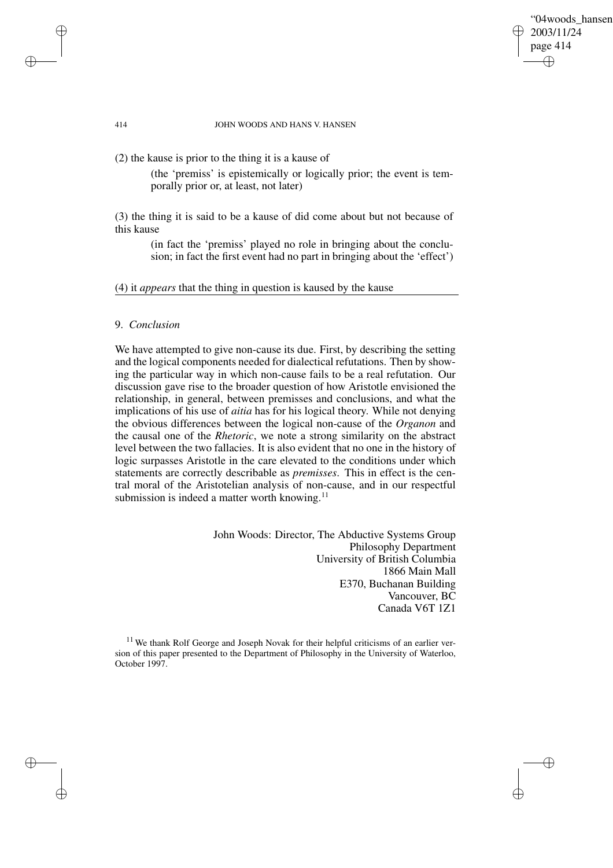## "04woods\_hansen" 2003/11/24 page 414 ✐ ✐

✐

✐

#### 414 JOHN WOODS AND HANS V. HANSEN

(2) the kause is prior to the thing it is a kause of

(the 'premiss' is epistemically or logically prior; the event is temporally prior or, at least, not later)

(3) the thing it is said to be a kause of did come about but not because of this kause

> (in fact the 'premiss' played no role in bringing about the conclusion; in fact the first event had no part in bringing about the 'effect')

(4) it *appears* that the thing in question is kaused by the kause

# 9. *Conclusion*

We have attempted to give non-cause its due. First, by describing the setting and the logical components needed for dialectical refutations. Then by showing the particular way in which non-cause fails to be a real refutation. Our discussion gave rise to the broader question of how Aristotle envisioned the relationship, in general, between premisses and conclusions, and what the implications of his use of *aitia* has for his logical theory. While not denying the obvious differences between the logical non-cause of the *Organon* and the causal one of the *Rhetoric*, we note a strong similarity on the abstract level between the two fallacies. It is also evident that no one in the history of logic surpasses Aristotle in the care elevated to the conditions under which statements are correctly describable as *premisses*. This in effect is the central moral of the Aristotelian analysis of non-cause, and in our respectful submission is indeed a matter worth knowing.<sup>11</sup>

> John Woods: Director, The Abductive Systems Group Philosophy Department University of British Columbia 1866 Main Mall E370, Buchanan Building Vancouver, BC Canada V6T 1Z1

 $11$  We thank Rolf George and Joseph Novak for their helpful criticisms of an earlier version of this paper presented to the Department of Philosophy in the University of Waterloo, October 1997.

✐

✐

✐